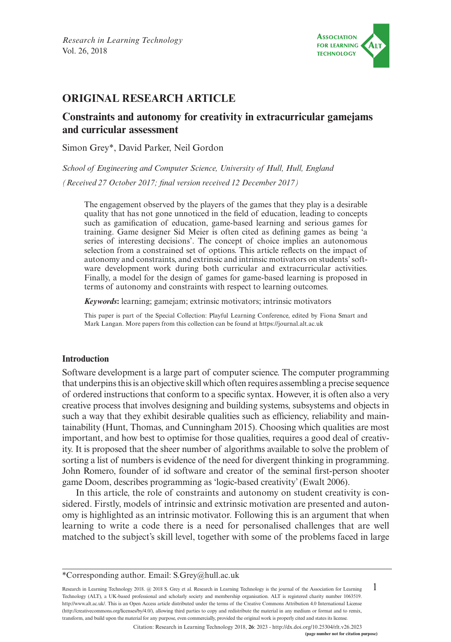

# **ORIGINAL RESEARCH ARTICLE**

# **Constraints and autonomy for creativity in extracurricular gamejams and curricular assessment**

Simon Grey\*, David Parker, Neil Gordon

*School of Engineering and Computer Science, University of Hull, Hull, England (Received 27 October 2017; final version received 12 December 2017)*

The engagement observed by the players of the games that they play is a desirable quality that has not gone unnoticed in the field of education, leading to concepts such as gamification of education, game-based learning and serious games for training. Game designer Sid Meier is often cited as defining games as being 'a series of interesting decisions'. The concept of choice implies an autonomous selection from a constrained set of options. This article reflects on the impact of autonomy and constraints, and extrinsic and intrinsic motivators on students' software development work during both curricular and extracurricular activities. Finally, a model for the design of games for game-based learning is proposed in terms of autonomy and constraints with respect to learning outcomes.

*Keywords***:** learning; gamejam; extrinsic motivators; intrinsic motivators

This paper is part of the Special Collection: Playful Learning Conference, edited by Fiona Smart and Mark Langan. More papers from this collection can be found at <https://journal.alt.ac.uk>

# **Introduction**

Software development is a large part of computer science. The computer programming that underpins this is an objective skill which often requires assembling a precise sequence of ordered instructions that conform to a specific syntax. However, it is often also a very creative process that involves designing and building systems, subsystems and objects in such a way that they exhibit desirable qualities such as efficiency, reliability and maintainability (Hunt, Thomas, and Cunningham 2015). Choosing which qualities are most important, and how best to optimise for those qualities, requires a good deal of creativity. It is proposed that the sheer number of algorithms available to solve the problem of sorting a list of numbers is evidence of the need for divergent thinking in programming. John Romero, founder of id software and creator of the seminal first-person shooter game Doom, describes programming as 'logic-based creativity' (Ewalt 2006).

In this article, the role of constraints and autonomy on student creativity is considered. Firstly, models of intrinsic and extrinsic motivation are presented and autonomy is highlighted as an intrinsic motivator. Following this is an argument that when learning to write a code there is a need for personalised challenges that are well matched to the subject's skill level, together with some of the problems faced in large

1 Research in Learning Technology 2018. @ 2018 S. Grey et al. Research in Learning Technology is the journal of the Association for Learning Technology (ALT), a UK-based professional and scholarly society and membership organisation. ALT is registered charity number 1063519. [http://www.alt.ac.uk/.](http://www.alt.ac.uk/) This is an Open Access article distributed under the terms of the Creative Commons Attribution 4.0 International License (<http://creativecommons.org/licenses/by/4.0/>), allowing third parties to copy and redistribute the material in any medium or format and to remix, transform, and build upon the material for any purpose, even commercially, provided the original work is properly cited and states its license.

Citation: Research in Learning Technology 2018, **26**: 2023 - <http://dx.doi.org/10.25304/rlt.v26.2023>

<sup>\*</sup>Corresponding author. Email: [S.Grey@hull.ac.uk](mailto:S.Grey@hull.ac.uk)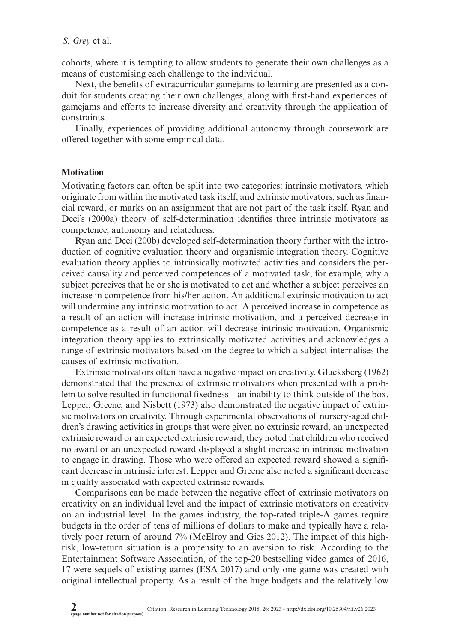### *S. Grey* et al.

cohorts, where it is tempting to allow students to generate their own challenges as a means of customising each challenge to the individual.

Next, the benefits of extracurricular gamejams to learning are presented as a conduit for students creating their own challenges, along with first-hand experiences of gamejams and efforts to increase diversity and creativity through the application of constraints.

Finally, experiences of providing additional autonomy through coursework are offered together with some empirical data.

### **Motivation**

Motivating factors can often be split into two categories: intrinsic motivators, which originate from within the motivated task itself, and extrinsic motivators, such as financial reward, or marks on an assignment that are not part of the task itself. Ryan and Deci's (2000a) theory of self-determination identifies three intrinsic motivators as competence, autonomy and relatedness.

Ryan and Deci (200b) developed self-determination theory further with the introduction of cognitive evaluation theory and organismic integration theory. Cognitive evaluation theory applies to intrinsically motivated activities and considers the perceived causality and perceived competences of a motivated task, for example, why a subject perceives that he or she is motivated to act and whether a subject perceives an increase in competence from his/her action. An additional extrinsic motivation to act will undermine any intrinsic motivation to act. A perceived increase in competence as a result of an action will increase intrinsic motivation, and a perceived decrease in competence as a result of an action will decrease intrinsic motivation. Organismic integration theory applies to extrinsically motivated activities and acknowledges a range of extrinsic motivators based on the degree to which a subject internalises the causes of extrinsic motivation.

Extrinsic motivators often have a negative impact on creativity. Glucksberg (1962) demonstrated that the presence of extrinsic motivators when presented with a problem to solve resulted in functional fixedness – an inability to think outside of the box. Lepper, Greene, and Nisbett (1973) also demonstrated the negative impact of extrinsic motivators on creativity. Through experimental observations of nursery-aged children's drawing activities in groups that were given no extrinsic reward, an unexpected extrinsic reward or an expected extrinsic reward, they noted that children who received no award or an unexpected reward displayed a slight increase in intrinsic motivation to engage in drawing. Those who were offered an expected reward showed a significant decrease in intrinsic interest. Lepper and Greene also noted a significant decrease in quality associated with expected extrinsic rewards.

Comparisons can be made between the negative effect of extrinsic motivators on creativity on an individual level and the impact of extrinsic motivators on creativity on an industrial level. In the games industry, the top-rated triple-A games require budgets in the order of tens of millions of dollars to make and typically have a relatively poor return of around 7% (McElroy and Gies 2012). The impact of this highrisk, low-return situation is a propensity to an aversion to risk. According to the Entertainment Software Association, of the top-20 bestselling video games of 2016, 17 were sequels of existing games (ESA 2017) and only one game was created with original intellectual property. As a result of the huge budgets and the relatively low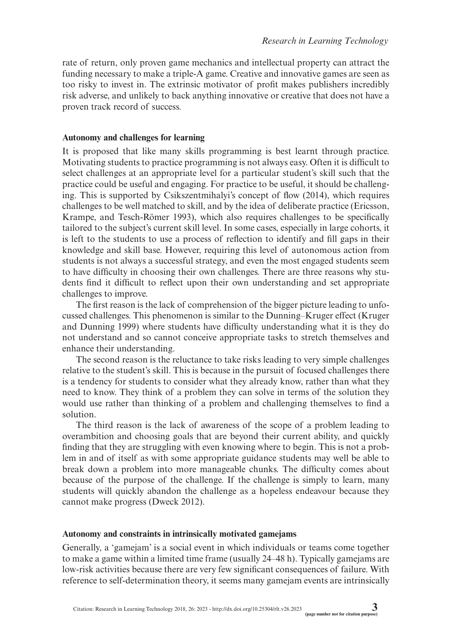rate of return, only proven game mechanics and intellectual property can attract the funding necessary to make a triple-A game. Creative and innovative games are seen as too risky to invest in. The extrinsic motivator of profit makes publishers incredibly risk adverse, and unlikely to back anything innovative or creative that does not have a proven track record of success.

# **Autonomy and challenges for learning**

It is proposed that like many skills programming is best learnt through practice. Motivating students to practice programming is not always easy. Often it is difficult to select challenges at an appropriate level for a particular student's skill such that the practice could be useful and engaging. For practice to be useful, it should be challenging. This is supported by Csikszentmihalyi's concept of flow (2014), which requires challenges to be well matched to skill, and by the idea of deliberate practice (Ericsson, Krampe, and Tesch-Römer 1993), which also requires challenges to be specifically tailored to the subject's current skill level. In some cases, especially in large cohorts, it is left to the students to use a process of reflection to identify and fill gaps in their knowledge and skill base. However, requiring this level of autonomous action from students is not always a successful strategy, and even the most engaged students seem to have difficulty in choosing their own challenges. There are three reasons why students find it difficult to reflect upon their own understanding and set appropriate challenges to improve.

The first reason is the lack of comprehension of the bigger picture leading to unfocussed challenges. This phenomenon is similar to the Dunning–Kruger effect (Kruger and Dunning 1999) where students have difficulty understanding what it is they do not understand and so cannot conceive appropriate tasks to stretch themselves and enhance their understanding.

The second reason is the reluctance to take risks leading to very simple challenges relative to the student's skill. This is because in the pursuit of focused challenges there is a tendency for students to consider what they already know, rather than what they need to know. They think of a problem they can solve in terms of the solution they would use rather than thinking of a problem and challenging themselves to find a solution.

The third reason is the lack of awareness of the scope of a problem leading to overambition and choosing goals that are beyond their current ability, and quickly finding that they are struggling with even knowing where to begin. This is not a problem in and of itself as with some appropriate guidance students may well be able to break down a problem into more manageable chunks. The difficulty comes about because of the purpose of the challenge. If the challenge is simply to learn, many students will quickly abandon the challenge as a hopeless endeavour because they cannot make progress (Dweck 2012).

# **Autonomy and constraints in intrinsically motivated gamejams**

Generally, a 'gamejam' is a social event in which individuals or teams come together to make a game within a limited time frame (usually 24–48 h). Typically gamejams are low-risk activities because there are very few significant consequences of failure. With reference to self-determination theory, it seems many gamejam events are intrinsically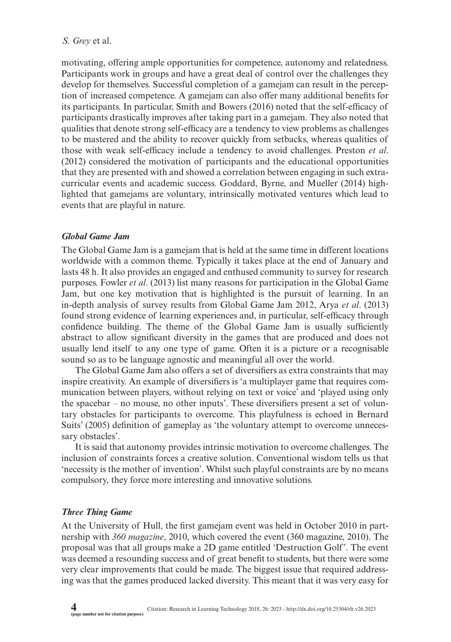# *S. Grey* et al.

motivating, offering ample opportunities for competence, autonomy and relatedness. Participants work in groups and have a great deal of control over the challenges they develop for themselves. Successful completion of a gamejam can result in the perception of increased competence. A gamejam can also offer many additional benefits for its participants. In particular, Smith and Bowers (2016) noted that the self-efficacy of participants drastically improves after taking part in a gamejam. They also noted that qualities that denote strong self-efficacy are a tendency to view problems as challenges to be mastered and the ability to recover quickly from setbacks, whereas qualities of those with weak self-efficacy include a tendency to avoid challenges. Preston *et al*. (2012) considered the motivation of participants and the educational opportunities that they are presented with and showed a correlation between engaging in such extracurricular events and academic success. Goddard, Byrne, and Mueller (2014) highlighted that gamejams are voluntary, intrinsically motivated ventures which lead to events that are playful in nature.

# *Global Game Jam*

The Global Game Jam is a gamejam that is held at the same time in different locations worldwide with a common theme. Typically it takes place at the end of January and lasts 48 h. It also provides an engaged and enthused community to survey for research purposes. Fowler *et al*. (2013) list many reasons for participation in the Global Game Jam, but one key motivation that is highlighted is the pursuit of learning. In an in-depth analysis of survey results from Global Game Jam 2012, Arya *et al*. (2013) found strong evidence of learning experiences and, in particular, self-efficacy through confidence building. The theme of the Global Game Jam is usually sufficiently abstract to allow significant diversity in the games that are produced and does not usually lend itself to any one type of game. Often it is a picture or a recognisable sound so as to be language agnostic and meaningful all over the world.

The Global Game Jam also offers a set of diversifiers as extra constraints that may inspire creativity. An example of diversifiers is 'a multiplayer game that requires communication between players, without relying on text or voice' and 'played using only the spacebar – no mouse, no other inputs'. These diversifiers present a set of voluntary obstacles for participants to overcome. This playfulness is echoed in Bernard Suits' (2005) definition of gameplay as 'the voluntary attempt to overcome unnecessary obstacles'.

It is said that autonomy provides intrinsic motivation to overcome challenges. The inclusion of constraints forces a creative solution. Conventional wisdom tells us that 'necessity is the mother of invention'. Whilst such playful constraints are by no means compulsory, they force more interesting and innovative solutions.

# *Three Thing Game*

At the University of Hull, the first gamejam event was held in October 2010 in partnership with *360 magazine*, 2010, which covered the event (360 magazine, 2010). The proposal was that all groups make a 2D game entitled 'Destruction Golf'. The event was deemed a resounding success and of great benefit to students, but there were some very clear improvements that could be made. The biggest issue that required addressing was that the games produced lacked diversity. This meant that it was very easy for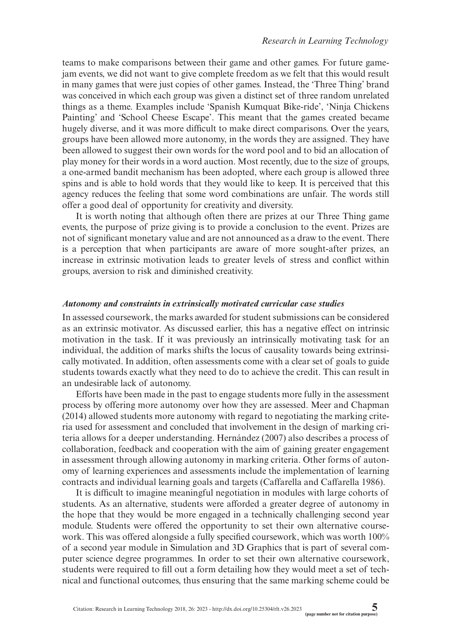teams to make comparisons between their game and other games. For future gamejam events, we did not want to give complete freedom as we felt that this would result in many games that were just copies of other games. Instead, the 'Three Thing' brand was conceived in which each group was given a distinct set of three random unrelated things as a theme. Examples include 'Spanish Kumquat Bike-ride', 'Ninja Chickens Painting' and 'School Cheese Escape'. This meant that the games created became hugely diverse, and it was more difficult to make direct comparisons. Over the years, groups have been allowed more autonomy, in the words they are assigned. They have been allowed to suggest their own words for the word pool and to bid an allocation of play money for their words in a word auction. Most recently, due to the size of groups, a one-armed bandit mechanism has been adopted, where each group is allowed three spins and is able to hold words that they would like to keep. It is perceived that this agency reduces the feeling that some word combinations are unfair. The words still offer a good deal of opportunity for creativity and diversity.

It is worth noting that although often there are prizes at our Three Thing game events, the purpose of prize giving is to provide a conclusion to the event. Prizes are not of significant monetary value and are not announced as a draw to the event. There is a perception that when participants are aware of more sought-after prizes, an increase in extrinsic motivation leads to greater levels of stress and conflict within groups, aversion to risk and diminished creativity.

### *Autonomy and constraints in extrinsically motivated curricular case studies*

In assessed coursework, the marks awarded for student submissions can be considered as an extrinsic motivator. As discussed earlier, this has a negative effect on intrinsic motivation in the task. If it was previously an intrinsically motivating task for an individual, the addition of marks shifts the locus of causality towards being extrinsically motivated. In addition, often assessments come with a clear set of goals to guide students towards exactly what they need to do to achieve the credit. This can result in an undesirable lack of autonomy.

Efforts have been made in the past to engage students more fully in the assessment process by offering more autonomy over how they are assessed. Meer and Chapman (2014) allowed students more autonomy with regard to negotiating the marking criteria used for assessment and concluded that involvement in the design of marking criteria allows for a deeper understanding. Hernández (2007) also describes a process of collaboration, feedback and cooperation with the aim of gaining greater engagement in assessment through allowing autonomy in marking criteria. Other forms of autonomy of learning experiences and assessments include the implementation of learning contracts and individual learning goals and targets (Caffarella and Caffarella 1986).

It is difficult to imagine meaningful negotiation in modules with large cohorts of students. As an alternative, students were afforded a greater degree of autonomy in the hope that they would be more engaged in a technically challenging second year module. Students were offered the opportunity to set their own alternative coursework. This was offered alongside a fully specified coursework, which was worth 100% of a second year module in Simulation and 3D Graphics that is part of several computer science degree programmes. In order to set their own alternative coursework, students were required to fill out a form detailing how they would meet a set of technical and functional outcomes, thus ensuring that the same marking scheme could be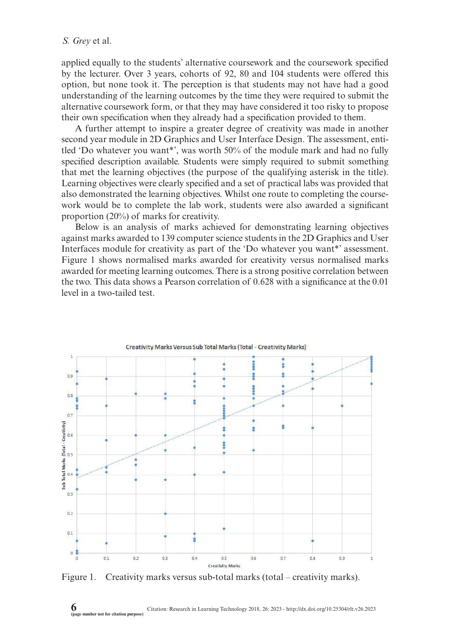applied equally to the students' alternative coursework and the coursework specified by the lecturer. Over 3 years, cohorts of 92, 80 and 104 students were offered this option, but none took it. The perception is that students may not have had a good understanding of the learning outcomes by the time they were required to submit the alternative coursework form, or that they may have considered it too risky to propose their own specification when they already had a specification provided to them.

A further attempt to inspire a greater degree of creativity was made in another second year module in 2D Graphics and User Interface Design. The assessment, entitled 'Do whatever you want\*', was worth 50% of the module mark and had no fully specified description available. Students were simply required to submit something that met the learning objectives (the purpose of the qualifying asterisk in the title). Learning objectives were clearly specified and a set of practical labs was provided that also demonstrated the learning objectives. Whilst one route to completing the coursework would be to complete the lab work, students were also awarded a significant proportion (20%) of marks for creativity.

Below is an analysis of marks achieved for demonstrating learning objectives against marks awarded to 139 computer science students in the 2D Graphics and User Interfaces module for creativity as part of the 'Do whatever you want\*' assessment. Figure 1 shows normalised marks awarded for creativity versus normalised marks awarded for meeting learning outcomes. There is a strong positive correlation between the two. This data shows a Pearson correlation of 0.628 with a significance at the 0.01 level in a two-tailed test.



Figure 1. Creativity marks versus sub-total marks (total – creativity marks).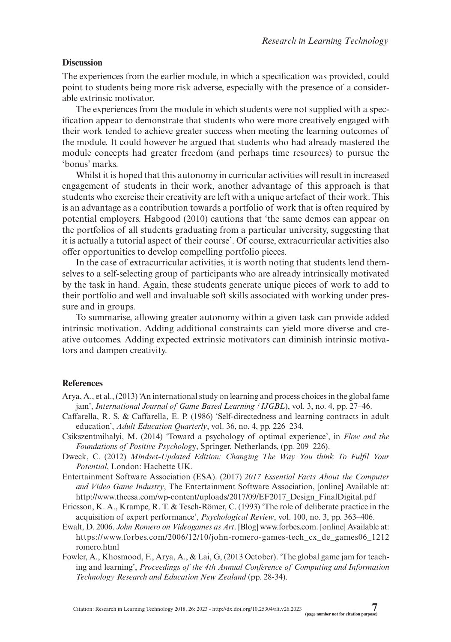# **Discussion**

The experiences from the earlier module, in which a specification was provided, could point to students being more risk adverse, especially with the presence of a considerable extrinsic motivator.

The experiences from the module in which students were not supplied with a specification appear to demonstrate that students who were more creatively engaged with their work tended to achieve greater success when meeting the learning outcomes of the module. It could however be argued that students who had already mastered the module concepts had greater freedom (and perhaps time resources) to pursue the 'bonus' marks.

Whilst it is hoped that this autonomy in curricular activities will result in increased engagement of students in their work, another advantage of this approach is that students who exercise their creativity are left with a unique artefact of their work. This is an advantage as a contribution towards a portfolio of work that is often required by potential employers. Habgood (2010) cautions that 'the same demos can appear on the portfolios of all students graduating from a particular university, suggesting that it is actually a tutorial aspect of their course'. Of course, extracurricular activities also offer opportunities to develop compelling portfolio pieces.

In the case of extracurricular activities, it is worth noting that students lend themselves to a self-selecting group of participants who are already intrinsically motivated by the task in hand. Again, these students generate unique pieces of work to add to their portfolio and well and invaluable soft skills associated with working under pressure and in groups.

To summarise, allowing greater autonomy within a given task can provide added intrinsic motivation. Adding additional constraints can yield more diverse and creative outcomes. Adding expected extrinsic motivators can diminish intrinsic motivators and dampen creativity.

#### **References**

- Arya, A., et al., (2013) 'An international study on learning and process choices in the global fame jam', *International Journal of Game Based Learning (IJGBL*), vol. 3, no. 4, pp. 27–46.
- Caffarella, R. S. & Caffarella, E. P. (1986) 'Self-directedness and learning contracts in adult education', *Adult Education Quarterly*, vol. 36, no. 4, pp. 226–234.
- Csikszentmihalyi, M. (2014) 'Toward a psychology of optimal experience', in *Flow and the Foundations of Positive Psycholog*y, Springer, Netherlands, (pp. 209–226).
- Dweck, C. (2012) *Mindset-Updated Edition: Changing The Way You think To Fulfil Your Potential*, London: Hachette UK.
- Entertainment Software Association (ESA). (2017) *2017 Essential Facts About the Computer and Video Game Industry*, The Entertainment Software Association, [online] Available at: [http://www.theesa.com/wp-content/uploads/2017/09/EF2017\\_Design\\_FinalDigital.pdf](http://www.theesa.com/wp-content/uploads/2017/09/EF2017_Design_FinalDigital.pdf)
- Ericsson, K. A., Krampe, R. T. & Tesch-Römer, C. (1993) 'The role of deliberate practice in the acquisition of expert performance', *Psychological Review*, vol. 100, no. 3, pp. 363–406.
- Ewalt, D. 2006. *John Romero on Videogames as Art*. [Blog] [www.forbes.com.](www.forbes.com) [online] Available at: https://[www.forbes.com/](www.forbes.com)2006/12/10/john-romero-games-tech\_cx\_de\_games06\_1212 romero.html
- Fowler, A., Khosmood, F., Arya, A., & Lai, G, (2013 October). 'The global game jam for teaching and learning', *Proceedings of the 4th Annual Conference of Computing and Information Technology Research and Education New Zealand* (pp. 28-34).